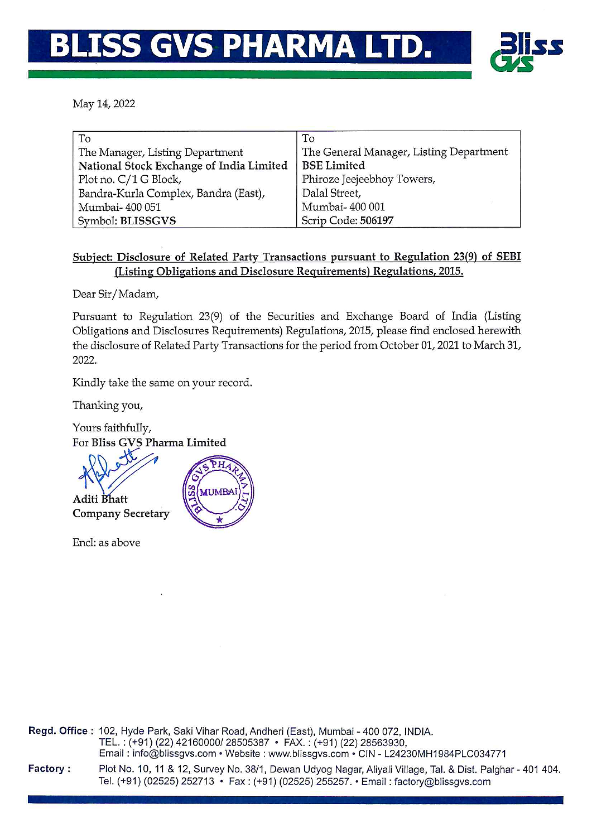## S GVS PHARMA LTD.



May 14, 2022

| To                                       | To                                      |
|------------------------------------------|-----------------------------------------|
| The Manager, Listing Department          | The General Manager, Listing Department |
| National Stock Exchange of India Limited | <b>BSE</b> Limited                      |
| Plot no. C/1 G Block,                    | Phiroze Jeejeebhoy Towers,              |
| Bandra-Kurla Complex, Bandra (East),     | Dalal Street,                           |
| Mumbai-400 051                           | Mumbai-400 001                          |
| Symbol: BLISSGVS                         | Scrip Code: 506197                      |

## Subject: Disclosure of Related Party Transactions pursuant to Regulation 23(9) of SEBI (Listing Obligations and Disclosure Requirements) Regulations, 2015.

Dear Sir/Madam,

Pursuant to Regulation 23(9) of the Securities and Exchange Board of India (Listing Obligations and Disclosures Requirements) Regulations, 2015, please find enclosed herewith the disclosure of Related Party Transactions for the period from October 01, 2021 to March 31, 2022.

Kindly take the same on your record.

Thanking you,

Yours faithfully, For Bliss GVS Pharma Limited

**MUMB** 



Encl: as above

Regd. Office: 102, Hyde Park, Saki Vihar Road, Andheri (East), Mumbai - 400 072, INDIA. TEL.: (+91) (22) 42160000/ 28505387 · FAX.: (+91) (22) 28563930, Email: info@blissgvs.com • Website: www.blissgvs.com • CIN - L24230MH1984PLC034771 Factory: Plot No. 10, 11 & 12, Survey No. 38/1, Dewan Udyog Nagar, Aliyali Village, Tal. & Dist. Palghar - 401 404. Tel. (+91) (02525) 252713 · Fax: (+91) (02525) 255257. · Email: factory@blissgvs.com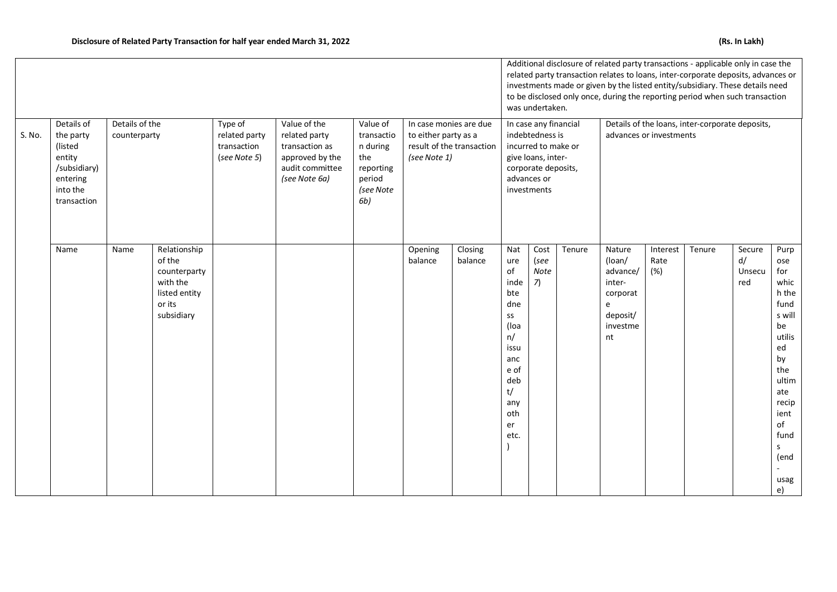|                                                                                                               |      |                                |                                                                                             |                                                                                                                                                                   |  |                                                                                      |                                                                                             |                    |                                                                                                                                            | was undertaken.            |        | Additional disclosure of related party transactions - applicable only in case the<br>related party transaction relates to loans, inter-corporate deposits, advances or<br>investments made or given by the listed entity/subsidiary. These details need<br>to be disclosed only once, during the reporting period when such transaction |                         |        |                               |                                                                                                                                                                                                              |
|---------------------------------------------------------------------------------------------------------------|------|--------------------------------|---------------------------------------------------------------------------------------------|-------------------------------------------------------------------------------------------------------------------------------------------------------------------|--|--------------------------------------------------------------------------------------|---------------------------------------------------------------------------------------------|--------------------|--------------------------------------------------------------------------------------------------------------------------------------------|----------------------------|--------|-----------------------------------------------------------------------------------------------------------------------------------------------------------------------------------------------------------------------------------------------------------------------------------------------------------------------------------------|-------------------------|--------|-------------------------------|--------------------------------------------------------------------------------------------------------------------------------------------------------------------------------------------------------------|
| Details of<br>S. No.<br>the party<br>(listed<br>entity<br>/subsidiary)<br>entering<br>into the<br>transaction |      | Details of the<br>counterparty |                                                                                             | Value of the<br>Type of<br>related party<br>related party<br>transaction<br>transaction as<br>approved by the<br>(see Note 5)<br>audit committee<br>(see Note 6a) |  | Value of<br>transactio<br>n during<br>the<br>reporting<br>period<br>(see Note<br>6b) | In case monies are due<br>to either party as a<br>result of the transaction<br>(see Note 1) |                    | In case any financial<br>indebtedness is<br>incurred to make or<br>give loans, inter-<br>corporate deposits,<br>advances or<br>investments |                            |        | Details of the loans, inter-corporate deposits,<br>advances or investments                                                                                                                                                                                                                                                              |                         |        |                               |                                                                                                                                                                                                              |
|                                                                                                               | Name | Name                           | Relationship<br>of the<br>counterparty<br>with the<br>listed entity<br>or its<br>subsidiary |                                                                                                                                                                   |  |                                                                                      | Opening<br>balance                                                                          | Closing<br>balance | Nat<br>ure<br>of<br>inde<br>bte<br>dne<br>SS<br>(loa<br>n/<br>issu<br>anc<br>e of<br>deb<br>t/<br>any<br>oth<br>er<br>etc.                 | Cost<br>(see<br>Note<br>7) | Tenure | Nature<br>(loan/<br>advance/<br>inter-<br>corporat<br>e<br>deposit/<br>investme<br>nt                                                                                                                                                                                                                                                   | Interest<br>Rate<br>(%) | Tenure | Secure<br>d/<br>Unsecu<br>red | Purp<br>ose<br>for<br>whic<br>h the<br>fund<br>s will<br>be<br>utilis<br>ed<br>by<br>the<br>ultim<br>ate<br>recip<br>ient<br>of<br>fund<br>$\mathsf{S}$<br>(end<br>$\mathcal{L}_{\mathcal{A}}$<br>usag<br>e) |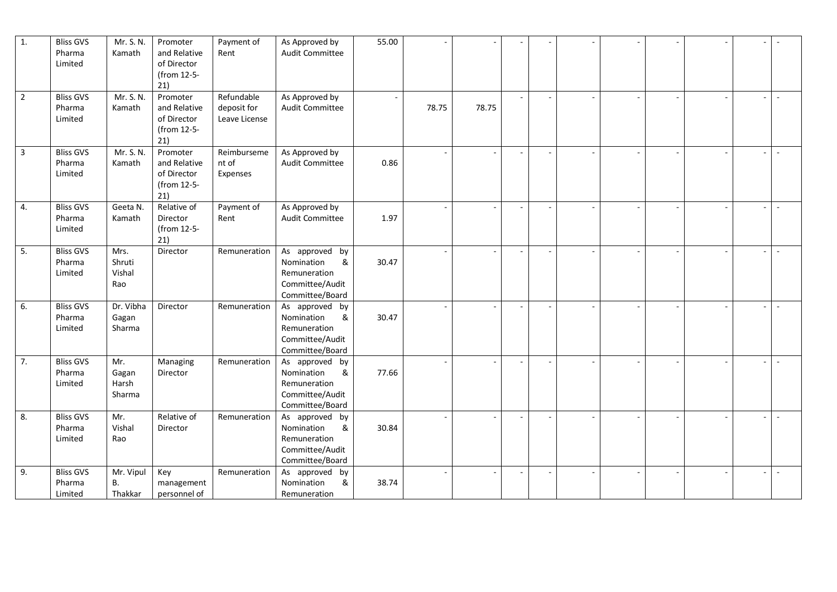| 1.             | <b>Bliss GVS</b><br>Pharma<br>Limited | Mr. S. N.<br>Kamath               | Promoter<br>and Relative<br>of Director<br>(from 12-5-<br>21) | Payment of<br>Rent                         | As Approved by<br>Audit Committee                                                       | 55.00 |       |       |  |  |  |        |
|----------------|---------------------------------------|-----------------------------------|---------------------------------------------------------------|--------------------------------------------|-----------------------------------------------------------------------------------------|-------|-------|-------|--|--|--|--------|
| $\overline{2}$ | <b>Bliss GVS</b><br>Pharma<br>Limited | Mr. S. N.<br>Kamath               | Promoter<br>and Relative<br>of Director<br>(from 12-5-<br>21) | Refundable<br>deposit for<br>Leave License | As Approved by<br>Audit Committee                                                       |       | 78.75 | 78.75 |  |  |  |        |
| $\mathbf{3}$   | <b>Bliss GVS</b><br>Pharma<br>Limited | Mr. S. N.<br>Kamath               | Promoter<br>and Relative<br>of Director<br>(from 12-5-<br>21) | Reimburseme<br>nt of<br>Expenses           | As Approved by<br>Audit Committee                                                       | 0.86  |       |       |  |  |  |        |
| 4.             | <b>Bliss GVS</b><br>Pharma<br>Limited | Geeta N.<br>Kamath                | Relative of<br>Director<br>(from 12-5-<br>21)                 | Payment of<br>Rent                         | As Approved by<br>Audit Committee                                                       | 1.97  |       |       |  |  |  |        |
| 5.             | <b>Bliss GVS</b><br>Pharma<br>Limited | Mrs.<br>Shruti<br>Vishal<br>Rao   | Director                                                      | Remuneration                               | As approved by<br>Nomination<br>&<br>Remuneration<br>Committee/Audit<br>Committee/Board | 30.47 |       |       |  |  |  |        |
| 6.             | <b>Bliss GVS</b><br>Pharma<br>Limited | Dr. Vibha<br>Gagan<br>Sharma      | Director                                                      | Remuneration                               | As approved by<br>Nomination<br>&<br>Remuneration<br>Committee/Audit<br>Committee/Board | 30.47 |       |       |  |  |  |        |
| 7.             | <b>Bliss GVS</b><br>Pharma<br>Limited | Mr.<br>Gagan<br>Harsh<br>Sharma   | Managing<br>Director                                          | Remuneration                               | As approved by<br>Nomination<br>&<br>Remuneration<br>Committee/Audit<br>Committee/Board | 77.66 |       |       |  |  |  |        |
| 8.             | <b>Bliss GVS</b><br>Pharma<br>Limited | Mr.<br>Vishal<br>Rao              | Relative of<br>Director                                       | Remuneration                               | As approved by<br>Nomination<br>&<br>Remuneration<br>Committee/Audit<br>Committee/Board | 30.84 |       |       |  |  |  | $\sim$ |
| 9.             | <b>Bliss GVS</b><br>Pharma<br>Limited | Mr. Vipul<br><b>B.</b><br>Thakkar | Key<br>management<br>personnel of                             | Remuneration                               | As approved<br>by<br>Nomination<br>&<br>Remuneration                                    | 38.74 |       |       |  |  |  | $\sim$ |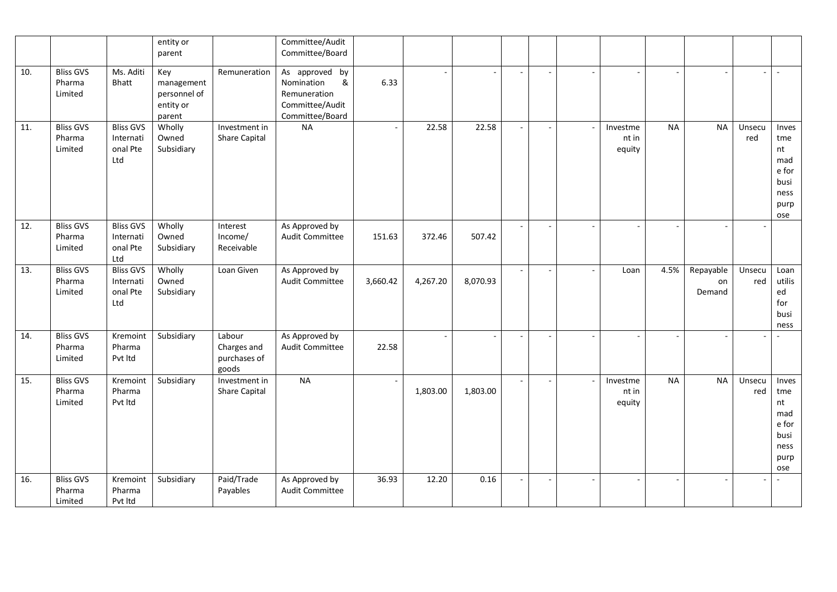|     |                                       |                                                  | entity or<br>parent                                      |                                                | Committee/Audit<br>Committee/Board                                                      |          |          |          |                          |        |                |                             |           |                           |               |                                                                   |
|-----|---------------------------------------|--------------------------------------------------|----------------------------------------------------------|------------------------------------------------|-----------------------------------------------------------------------------------------|----------|----------|----------|--------------------------|--------|----------------|-----------------------------|-----------|---------------------------|---------------|-------------------------------------------------------------------|
| 10. | <b>Bliss GVS</b><br>Pharma<br>Limited | Ms. Aditi<br>Bhatt                               | Key<br>management<br>personnel of<br>entity or<br>parent | Remuneration                                   | As approved by<br>Nomination<br>&<br>Remuneration<br>Committee/Audit<br>Committee/Board | 6.33     |          |          |                          |        |                |                             |           |                           |               |                                                                   |
| 11. | <b>Bliss GVS</b><br>Pharma<br>Limited | <b>Bliss GVS</b><br>Internati<br>onal Pte<br>Ltd | Wholly<br>Owned<br>Subsidiary                            | Investment in<br>Share Capital                 | <b>NA</b>                                                                               |          | 22.58    | 22.58    |                          |        |                | Investme<br>nt in<br>equity | <b>NA</b> | <b>NA</b>                 | Unsecu<br>red | Inves<br>tme<br>nt<br>mad<br>e for<br>busi<br>ness<br>purp<br>ose |
| 12. | <b>Bliss GVS</b><br>Pharma<br>Limited | <b>Bliss GVS</b><br>Internati<br>onal Pte<br>Ltd | Wholly<br>Owned<br>Subsidiary                            | Interest<br>Income/<br>Receivable              | As Approved by<br>Audit Committee                                                       | 151.63   | 372.46   | 507.42   | $\overline{\phantom{a}}$ |        |                |                             |           |                           |               |                                                                   |
| 13. | <b>Bliss GVS</b><br>Pharma<br>Limited | <b>Bliss GVS</b><br>Internati<br>onal Pte<br>Ltd | Wholly<br>Owned<br>Subsidiary                            | Loan Given                                     | As Approved by<br>Audit Committee                                                       | 3,660.42 | 4,267.20 | 8,070.93 | $\sim$                   | $\sim$ | $\blacksquare$ | Loan                        | 4.5%      | Repayable<br>on<br>Demand | Unsecu<br>red | Loan<br>utilis<br>ed<br>for<br>busi<br>ness                       |
| 14. | <b>Bliss GVS</b><br>Pharma<br>Limited | Kremoint<br>Pharma<br>Pvt Itd                    | Subsidiary                                               | Labour<br>Charges and<br>purchases of<br>goods | As Approved by<br>Audit Committee                                                       | 22.58    |          |          |                          |        |                |                             |           |                           |               |                                                                   |
| 15. | <b>Bliss GVS</b><br>Pharma<br>Limited | Kremoint<br>Pharma<br>Pvt Itd                    | Subsidiary                                               | Investment in<br>Share Capital                 | <b>NA</b>                                                                               |          | 1,803.00 | 1,803.00 |                          |        |                | Investme<br>nt in<br>equity | <b>NA</b> | <b>NA</b>                 | Unsecu<br>red | Inves<br>tme<br>nt<br>mad<br>e for<br>busi<br>ness<br>purp<br>ose |
| 16. | <b>Bliss GVS</b><br>Pharma<br>Limited | Kremoint<br>Pharma<br>Pvt Itd                    | Subsidiary                                               | Paid/Trade<br>Payables                         | As Approved by<br>Audit Committee                                                       | 36.93    | 12.20    | 0.16     |                          |        |                |                             |           |                           |               | $\sim$                                                            |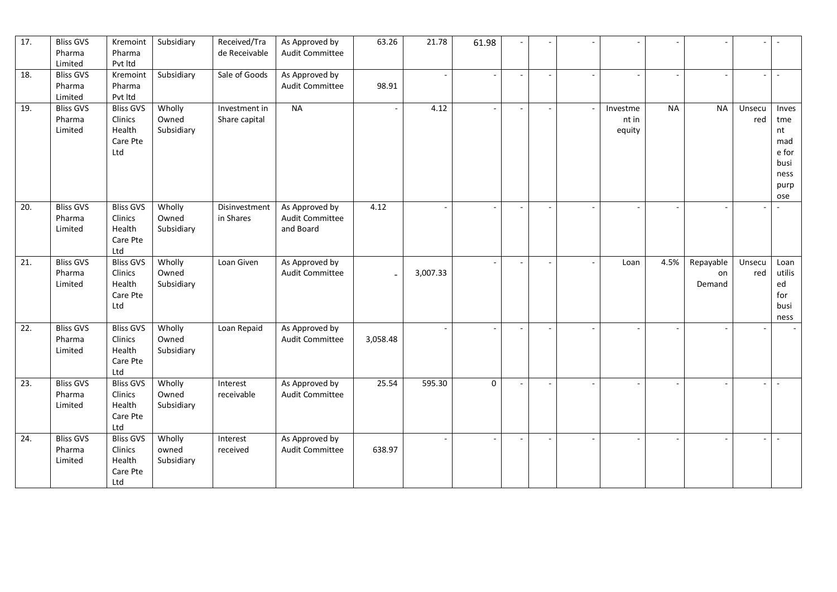| 17. | <b>Bliss GVS</b><br>Pharma<br>Limited | Kremoint<br>Pharma<br>Pvt Itd                            | Subsidiary                    | Received/Tra<br>de Receivable  | As Approved by<br>Audit Committee              | 63.26    | 21.78    | 61.98 |                          |                             |           |                           |                          | $\overline{\phantom{a}}$                                          |
|-----|---------------------------------------|----------------------------------------------------------|-------------------------------|--------------------------------|------------------------------------------------|----------|----------|-------|--------------------------|-----------------------------|-----------|---------------------------|--------------------------|-------------------------------------------------------------------|
| 18. | <b>Bliss GVS</b><br>Pharma<br>Limited | Kremoint<br>Pharma<br>Pvt Itd                            | Subsidiary                    | Sale of Goods                  | As Approved by<br>Audit Committee              | 98.91    |          |       |                          |                             |           |                           | $\overline{\phantom{0}}$ |                                                                   |
| 19. | <b>Bliss GVS</b><br>Pharma<br>Limited | <b>Bliss GVS</b><br>Clinics<br>Health<br>Care Pte<br>Ltd | Wholly<br>Owned<br>Subsidiary | Investment in<br>Share capital | <b>NA</b>                                      |          | 4.12     |       |                          | Investme<br>nt in<br>equity | <b>NA</b> | <b>NA</b>                 | Unsecu<br>red            | Inves<br>tme<br>nt<br>mad<br>e for<br>busi<br>ness<br>purp<br>ose |
| 20. | <b>Bliss GVS</b><br>Pharma<br>Limited | <b>Bliss GVS</b><br>Clinics<br>Health<br>Care Pte<br>Ltd | Wholly<br>Owned<br>Subsidiary | Disinvestment<br>in Shares     | As Approved by<br>Audit Committee<br>and Board | 4.12     |          |       | $\overline{\phantom{a}}$ |                             |           |                           |                          |                                                                   |
| 21. | <b>Bliss GVS</b><br>Pharma<br>Limited | <b>Bliss GVS</b><br>Clinics<br>Health<br>Care Pte<br>Ltd | Wholly<br>Owned<br>Subsidiary | Loan Given                     | As Approved by<br>Audit Committee              |          | 3,007.33 |       |                          | Loan                        | 4.5%      | Repayable<br>on<br>Demand | Unsecu<br>red            | Loan<br>utilis<br>ed<br>for<br>busi<br>ness                       |
| 22. | <b>Bliss GVS</b><br>Pharma<br>Limited | <b>Bliss GVS</b><br>Clinics<br>Health<br>Care Pte<br>Ltd | Wholly<br>Owned<br>Subsidiary | Loan Repaid                    | As Approved by<br>Audit Committee              | 3,058.48 |          |       |                          |                             |           |                           |                          |                                                                   |
| 23. | <b>Bliss GVS</b><br>Pharma<br>Limited | <b>Bliss GVS</b><br>Clinics<br>Health<br>Care Pte<br>Ltd | Wholly<br>Owned<br>Subsidiary | Interest<br>receivable         | As Approved by<br>Audit Committee              | 25.54    | 595.30   | 0     |                          |                             |           |                           |                          | $\sim$                                                            |
| 24. | <b>Bliss GVS</b><br>Pharma<br>Limited | <b>Bliss GVS</b><br>Clinics<br>Health<br>Care Pte<br>Ltd | Wholly<br>owned<br>Subsidiary | Interest<br>received           | As Approved by<br>Audit Committee              | 638.97   |          |       |                          |                             |           |                           |                          | $\sim$                                                            |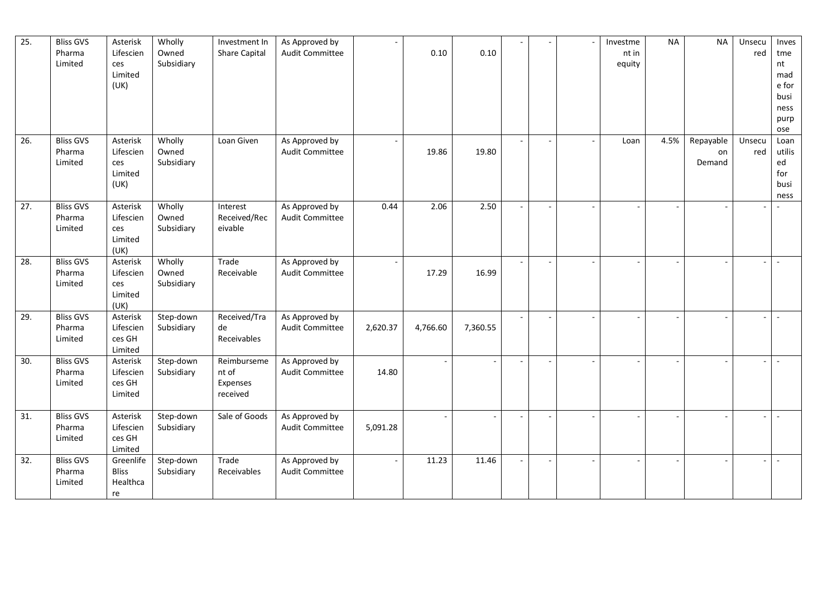| $\overline{25}$ . | <b>Bliss GVS</b><br>Pharma<br>Limited | Asterisk<br>Lifescien<br>ces<br>Limited<br>(UK) | Wholly<br>Owned<br>Subsidiary | Investment In<br>Share Capital               | As Approved by<br>Audit Committee        |          | 0.10     | 0.10     |  | Investme<br>nt in<br>equity | <b>NA</b> | <b>NA</b>                 | Unsecu<br>red | Inves<br>tme<br>nt<br>mad<br>e for<br>busi<br>ness<br>purp<br>ose |
|-------------------|---------------------------------------|-------------------------------------------------|-------------------------------|----------------------------------------------|------------------------------------------|----------|----------|----------|--|-----------------------------|-----------|---------------------------|---------------|-------------------------------------------------------------------|
| 26.               | <b>Bliss GVS</b><br>Pharma<br>Limited | Asterisk<br>Lifescien<br>ces<br>Limited<br>(UK) | Wholly<br>Owned<br>Subsidiary | Loan Given                                   | As Approved by<br>Audit Committee        |          | 19.86    | 19.80    |  | Loan                        | 4.5%      | Repayable<br>on<br>Demand | Unsecu<br>red | Loan<br>utilis<br>ed<br>for<br>busi<br>ness                       |
| 27.               | <b>Bliss GVS</b><br>Pharma<br>Limited | Asterisk<br>Lifescien<br>ces<br>Limited<br>(UK) | Wholly<br>Owned<br>Subsidiary | Interest<br>Received/Rec<br>eivable          | As Approved by<br>Audit Committee        | 0.44     | 2.06     | 2.50     |  |                             |           |                           |               |                                                                   |
| 28.               | <b>Bliss GVS</b><br>Pharma<br>Limited | Asterisk<br>Lifescien<br>ces<br>Limited<br>(UK) | Wholly<br>Owned<br>Subsidiary | Trade<br>Receivable                          | As Approved by<br>Audit Committee        |          | 17.29    | 16.99    |  |                             |           |                           |               | $\sim$                                                            |
| 29.               | <b>Bliss GVS</b><br>Pharma<br>Limited | Asterisk<br>Lifescien<br>ces GH<br>Limited      | Step-down<br>Subsidiary       | Received/Tra<br>de<br>Receivables            | As Approved by<br><b>Audit Committee</b> | 2,620.37 | 4,766.60 | 7,360.55 |  |                             |           |                           |               | $\sim$                                                            |
| 30.               | <b>Bliss GVS</b><br>Pharma<br>Limited | Asterisk<br>Lifescien<br>ces GH<br>Limited      | Step-down<br>Subsidiary       | Reimburseme<br>nt of<br>Expenses<br>received | As Approved by<br>Audit Committee        | 14.80    |          |          |  |                             |           |                           |               |                                                                   |
| 31.               | <b>Bliss GVS</b><br>Pharma<br>Limited | Asterisk<br>Lifescien<br>ces GH<br>Limited      | Step-down<br>Subsidiary       | Sale of Goods                                | As Approved by<br>Audit Committee        | 5,091.28 |          |          |  |                             |           |                           |               | $\sim$                                                            |
| 32.               | <b>Bliss GVS</b><br>Pharma<br>Limited | Greenlife<br><b>Bliss</b><br>Healthca<br>re     | Step-down<br>Subsidiary       | Trade<br>Receivables                         | As Approved by<br><b>Audit Committee</b> |          | 11.23    | 11.46    |  |                             |           |                           |               |                                                                   |